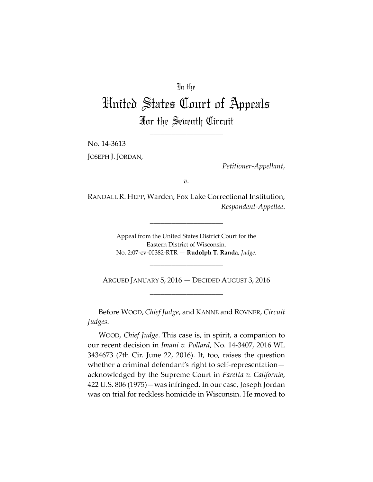## In the

# United States Court of Appeals For the Seventh Circuit

\_\_\_\_\_\_\_\_\_\_\_\_\_\_\_\_\_\_\_\_

No. 14‐3613

JOSEPH J. JORDAN,

*Petitioner‐Appellant*,

*v.*

RANDALL R. HEPP, Warden, Fox Lake Correctional Institution, *Respondent‐Appellee*.

\_\_\_\_\_\_\_\_\_\_\_\_\_\_\_\_\_\_\_\_

Appeal from the United States District Court for the Eastern District of Wisconsin. No. 2:07‐cv‐00382‐RTR — **Rudolph T. Randa**, *Judge*.

\_\_\_\_\_\_\_\_\_\_\_\_\_\_\_\_\_\_\_\_

ARGUED JANUARY 5, 2016 — DECIDED AUGUST 3, 2016 \_\_\_\_\_\_\_\_\_\_\_\_\_\_\_\_\_\_\_\_

Before WOOD, *Chief Judge*, and KANNE and ROVNER, *Circuit Judges*.

WOOD, *Chief Judge*. This case is, in spirit, a companion to our recent decision in *Imani v. Pollard*, No. 14‐3407, 2016 WL 3434673 (7th Cir. June 22, 2016). It, too, raises the question whether a criminal defendant's right to self-representationacknowledged by the Supreme Court in *Faretta v. California*, 422 U.S. 806 (1975)—was infringed. In our case, Joseph Jordan was on trial for reckless homicide in Wisconsin. He moved to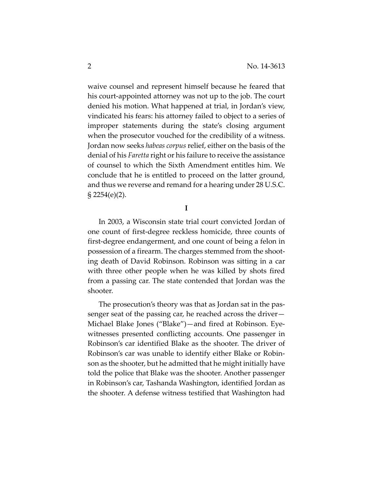waive counsel and represent himself because he feared that his court-appointed attorney was not up to the job. The court denied his motion. What happened at trial, in Jordan's view, vindicated his fears: his attorney failed to object to a series of improper statements during the state's closing argument when the prosecutor vouched for the credibility of a witness. Jordan now seeks *habeas corpus* relief, either on the basis of the denial of his *Faretta* right or his failure to receive the assistance of counsel to which the Sixth Amendment entitles him. We conclude that he is entitled to proceed on the latter ground, and thus we reverse and remand for a hearing under 28 U.S.C.  $\S 2254(e)(2)$ .

**I**

In 2003, a Wisconsin state trial court convicted Jordan of one count of first‐degree reckless homicide, three counts of first‐degree endangerment, and one count of being a felon in possession of a firearm. The charges stemmed from the shoot‐ ing death of David Robinson. Robinson was sitting in a car with three other people when he was killed by shots fired from a passing car. The state contended that Jordan was the shooter.

The prosecution's theory was that as Jordan sat in the pas‐ senger seat of the passing car, he reached across the driver— Michael Blake Jones ("Blake")—and fired at Robinson. Eye‐ witnesses presented conflicting accounts. One passenger in Robinson's car identified Blake as the shooter. The driver of Robinson's car was unable to identify either Blake or Robin‐ son as the shooter, but he admitted that he might initially have told the police that Blake was the shooter. Another passenger in Robinson's car, Tashanda Washington, identified Jordan as the shooter. A defense witness testified that Washington had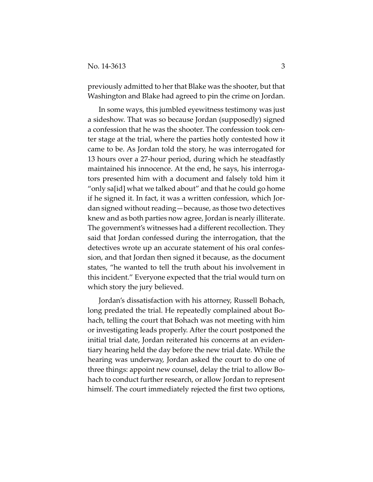previously admitted to her that Blake was the shooter, but that Washington and Blake had agreed to pin the crime on Jordan.

In some ways, this jumbled eyewitness testimony was just a sideshow. That was so because Jordan (supposedly) signed a confession that he was the shooter. The confession took cen‐ ter stage at the trial, where the parties hotly contested how it came to be. As Jordan told the story, he was interrogated for 13 hours over a 27‐hour period, during which he steadfastly maintained his innocence. At the end, he says, his interrogators presented him with a document and falsely told him it "only sa[id] what we talked about" and that he could go home if he signed it. In fact, it was a written confession, which Jor‐ dan signed without reading—because, as those two detectives knew and as both parties now agree, Jordan is nearly illiterate. The government's witnesses had a different recollection. They said that Jordan confessed during the interrogation, that the detectives wrote up an accurate statement of his oral confes‐ sion, and that Jordan then signed it because, as the document states, "he wanted to tell the truth about his involvement in this incident." Everyone expected that the trial would turn on which story the jury believed.

Jordan's dissatisfaction with his attorney, Russell Bohach, long predated the trial. He repeatedly complained about Bohach, telling the court that Bohach was not meeting with him or investigating leads properly. After the court postponed the initial trial date, Jordan reiterated his concerns at an eviden‐ tiary hearing held the day before the new trial date. While the hearing was underway, Jordan asked the court to do one of three things: appoint new counsel, delay the trial to allow Bo‐ hach to conduct further research, or allow Jordan to represent himself. The court immediately rejected the first two options,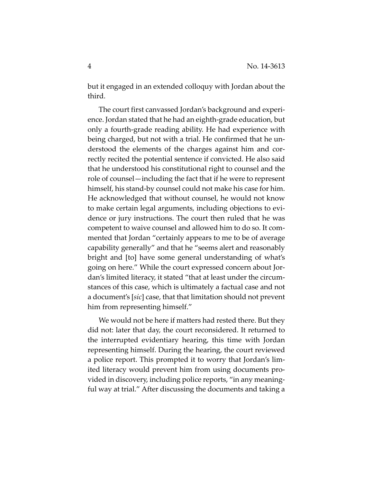but it engaged in an extended colloquy with Jordan about the third.

The court first canvassed Jordan's background and experi‐ ence. Jordan stated that he had an eighth‐grade education, but only a fourth‐grade reading ability. He had experience with being charged, but not with a trial. He confirmed that he un‐ derstood the elements of the charges against him and cor‐ rectly recited the potential sentence if convicted. He also said that he understood his constitutional right to counsel and the role of counsel—including the fact that if he were to represent himself, his stand-by counsel could not make his case for him. He acknowledged that without counsel, he would not know to make certain legal arguments, including objections to evi‐ dence or jury instructions. The court then ruled that he was competent to waive counsel and allowed him to do so. It com‐ mented that Jordan "certainly appears to me to be of average capability generally" and that he "seems alert and reasonably bright and [to] have some general understanding of what's going on here." While the court expressed concern about Jor‐ dan's limited literacy, it stated "that at least under the circum‐ stances of this case, which is ultimately a factual case and not a document's [*sic*] case, that that limitation should not prevent him from representing himself."

We would not be here if matters had rested there. But they did not: later that day, the court reconsidered. It returned to the interrupted evidentiary hearing, this time with Jordan representing himself. During the hearing, the court reviewed a police report. This prompted it to worry that Jordan's lim‐ ited literacy would prevent him from using documents pro‐ vided in discovery, including police reports, "in any meaning‐ ful way at trial." After discussing the documents and taking a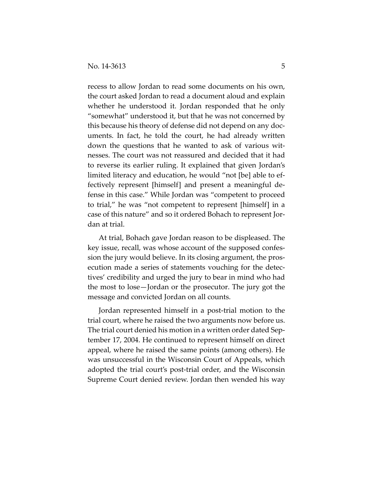recess to allow Jordan to read some documents on his own, the court asked Jordan to read a document aloud and explain whether he understood it. Jordan responded that he only "somewhat" understood it, but that he was not concerned by this because his theory of defense did not depend on any doc‐ uments. In fact, he told the court, he had already written down the questions that he wanted to ask of various wit‐ nesses. The court was not reassured and decided that it had to reverse its earlier ruling. It explained that given Jordan's limited literacy and education, he would "not [be] able to ef‐ fectively represent [himself] and present a meaningful de‐ fense in this case." While Jordan was "competent to proceed to trial," he was "not competent to represent [himself] in a case of this nature" and so it ordered Bohach to represent Jor‐ dan at trial.

At trial, Bohach gave Jordan reason to be displeased. The key issue, recall, was whose account of the supposed confes‐ sion the jury would believe. In its closing argument, the pros‐ ecution made a series of statements vouching for the detec‐ tives' credibility and urged the jury to bear in mind who had the most to lose—Jordan or the prosecutor. The jury got the message and convicted Jordan on all counts.

Jordan represented himself in a post‐trial motion to the trial court, where he raised the two arguments now before us. The trial court denied his motion in a written order dated Sep‐ tember 17, 2004. He continued to represent himself on direct appeal, where he raised the same points (among others). He was unsuccessful in the Wisconsin Court of Appeals, which adopted the trial court's post‐trial order, and the Wisconsin Supreme Court denied review. Jordan then wended his way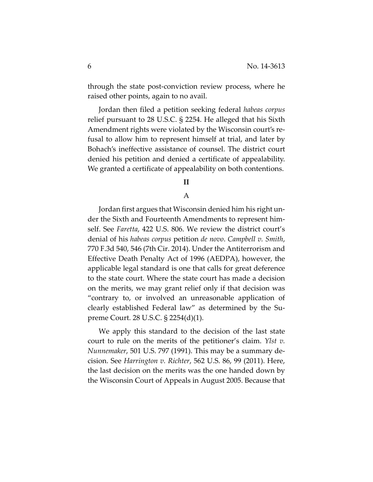through the state post‐conviction review process, where he raised other points, again to no avail.

Jordan then filed a petition seeking federal *habeas corpus* relief pursuant to 28 U.S.C. § 2254. He alleged that his Sixth Amendment rights were violated by the Wisconsin court's re‐ fusal to allow him to represent himself at trial, and later by Bohach's ineffective assistance of counsel. The district court denied his petition and denied a certificate of appealability. We granted a certificate of appealability on both contentions.

## **II**

## A

Jordan first argues that Wisconsin denied him his right un‐ der the Sixth and Fourteenth Amendments to represent him‐ self. See *Faretta*, 422 U.S. 806. We review the district court's denial of his *habeas corpus* petition *de novo*. *Campbell v. Smith*, 770 F.3d 540, 546 (7th Cir. 2014). Under the Antiterrorism and Effective Death Penalty Act of 1996 (AEDPA), however, the applicable legal standard is one that calls for great deference to the state court. Where the state court has made a decision on the merits, we may grant relief only if that decision was "contrary to, or involved an unreasonable application of clearly established Federal law" as determined by the Su‐ preme Court. 28 U.S.C. § 2254(d)(1).

We apply this standard to the decision of the last state court to rule on the merits of the petitioner's claim. *Ylst v. Nunnemaker*, 501 U.S. 797 (1991). This may be a summary de‐ cision. See *Harrington v. Richter*, 562 U.S. 86, 99 (2011). Here, the last decision on the merits was the one handed down by the Wisconsin Court of Appeals in August 2005. Because that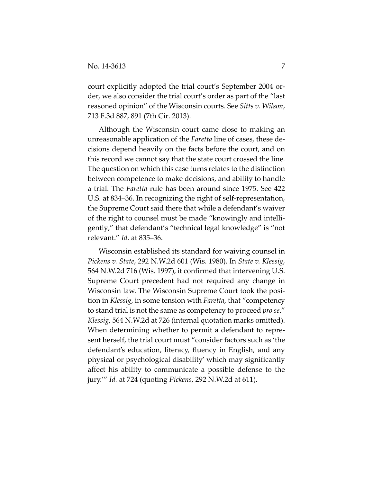court explicitly adopted the trial court's September 2004 order, we also consider the trial court's order as part of the "last reasoned opinion" of the Wisconsin courts. See *Sitts v. Wilson*, 713 F.3d 887, 891 (7th Cir. 2013).

Although the Wisconsin court came close to making an unreasonable application of the *Faretta* line of cases, these de‐ cisions depend heavily on the facts before the court, and on this record we cannot say that the state court crossed the line. The question on which this case turns relates to the distinction between competence to make decisions, and ability to handle a trial. The *Faretta* rule has been around since 1975. See 422 U.S. at 834–36. In recognizing the right of self‐representation, the Supreme Court said there that while a defendant's waiver of the right to counsel must be made "knowingly and intelli‐ gently," that defendant's "technical legal knowledge" is "not relevant." *Id.* at 835–36.

Wisconsin established its standard for waiving counsel in *Pickens v. State*, 292 N.W.2d 601 (Wis. 1980). In *State v. Klessig*, 564 N.W.2d 716 (Wis. 1997), it confirmed that intervening U.S. Supreme Court precedent had not required any change in Wisconsin law. The Wisconsin Supreme Court took the posi‐ tion in *Klessig*, in some tension with *Faretta*, that "competency to stand trial is not the same as competency to proceed *pro se*." *Klessig*, 564 N.W.2d at 726 (internal quotation marks omitted). When determining whether to permit a defendant to repre‐ sent herself, the trial court must "consider factors such as 'the defendant's education, literacy, fluency in English, and any physical or psychological disability' which may significantly affect his ability to communicate a possible defense to the jury.'" *Id.* at 724 (quoting *Pickens*, 292 N.W.2d at 611).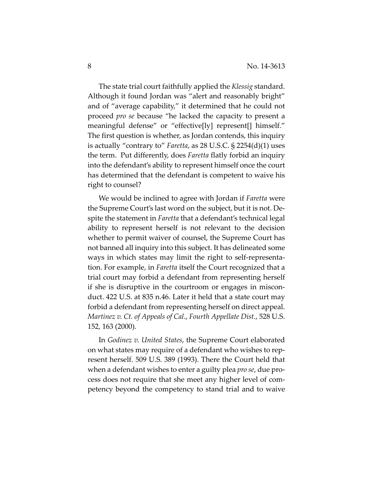The state trial court faithfully applied the *Klessig* standard. Although it found Jordan was "alert and reasonably bright" and of "average capability," it determined that he could not proceed *pro se* because "he lacked the capacity to present a meaningful defense" or "effective[ly] represent[] himself." The first question is whether, as Jordan contends, this inquiry is actually "contrary to" *Faretta*, as 28 U.S.C. § 2254(d)(1) uses the term. Put differently, does *Faretta* flatly forbid an inquiry into the defendant's ability to represent himself once the court has determined that the defendant is competent to waive his right to counsel?

We would be inclined to agree with Jordan if *Faretta* were the Supreme Court's last word on the subject, but it is not. De‐ spite the statement in *Faretta* that a defendant's technical legal ability to represent herself is not relevant to the decision whether to permit waiver of counsel, the Supreme Court has not banned all inquiry into this subject. It has delineated some ways in which states may limit the right to self-representation. For example, in *Faretta* itself the Court recognized that a trial court may forbid a defendant from representing herself if she is disruptive in the courtroom or engages in miscon‐ duct. 422 U.S. at 835 n.46. Later it held that a state court may forbid a defendant from representing herself on direct appeal. *Martinez v. Ct. of Appeals of Cal.*, *Fourth Appellate Dist.*, 528 U.S. 152, 163 (2000).

In *Godinez v. United States*, the Supreme Court elaborated on what states may require of a defendant who wishes to rep‐ resent herself. 509 U.S. 389 (1993). There the Court held that when a defendant wishes to enter a guilty plea *pro se*, due pro‐ cess does not require that she meet any higher level of com‐ petency beyond the competency to stand trial and to waive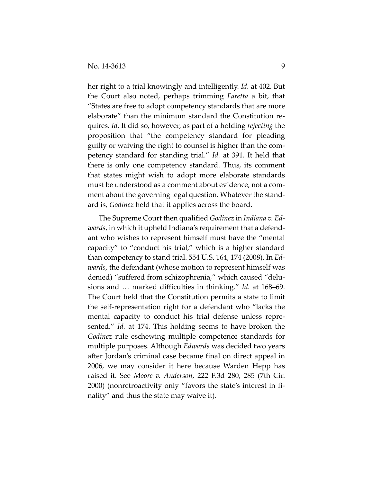her right to a trial knowingly and intelligently. *Id.* at 402. But the Court also noted, perhaps trimming *Faretta* a bit, that "States are free to adopt competency standards that are more elaborate" than the minimum standard the Constitution re‐ quires. *Id.* It did so, however, as part of a holding *rejecting* the proposition that "the competency standard for pleading guilty or waiving the right to counsel is higher than the com‐ petency standard for standing trial." *Id.* at 391. It held that there is only one competency standard. Thus, its comment that states might wish to adopt more elaborate standards must be understood as a comment about evidence, not a com‐ ment about the governing legal question. Whatever the stand‐ ard is, *Godinez* held that it applies across the board.

The Supreme Court then qualified *Godinez* in *Indiana v. Ed‐ wards*, in which it upheld Indiana's requirement that a defend‐ ant who wishes to represent himself must have the "mental capacity" to "conduct his trial," which is a higher standard than competency to stand trial. 554 U.S. 164, 174 (2008). In *Ed‐ wards*, the defendant (whose motion to represent himself was denied) "suffered from schizophrenia," which caused "delu‐ sions and … marked difficulties in thinking." *Id.* at 168–69. The Court held that the Constitution permits a state to limit the self‐representation right for a defendant who "lacks the mental capacity to conduct his trial defense unless repre‐ sented." *Id.* at 174. This holding seems to have broken the *Godinez* rule eschewing multiple competence standards for multiple purposes. Although *Edwards* was decided two years after Jordan's criminal case became final on direct appeal in 2006, we may consider it here because Warden Hepp has raised it. See *Moore v. Anderson*, 222 F.3d 280, 285 (7th Cir. 2000) (nonretroactivity only "favors the state's interest in fi‐ nality" and thus the state may waive it).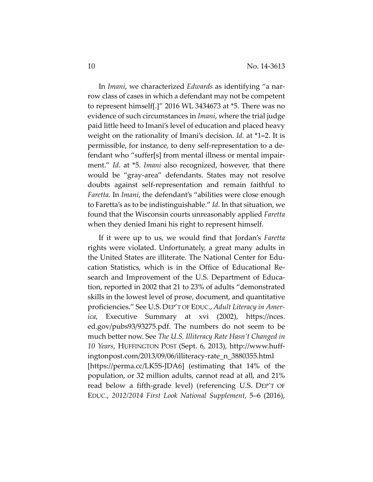In *Imani*, we characterized *Edwards* as identifying "a nar‐ row class of cases in which a defendant may not be competent to represent himself[.]" 2016 WL 3434673 at \*5. There was no evidence of such circumstances in *Imani*, where the trial judge paid little heed to Imani's level of education and placed heavy weight on the rationality of Imani's decision. *Id.* at \*1**–**2. It is permissible, for instance, to deny self‐representation to a de‐ fendant who "suffer[s] from mental illness or mental impair‐ ment." *Id*. at \*5. *Imani* also recognized, however, that there would be "gray‐area" defendants. States may not resolve doubts against self‐representation and remain faithful to *Faretta.* In *Imani*, the defendant's "abilities were close enough to Faretta's as to be indistinguishable." *Id.* In that situation, we found that the Wisconsin courts unreasonably applied *Faretta* when they denied Imani his right to represent himself.

If it were up to us, we would find that Jordan's *Faretta* rights were violated. Unfortunately, a great many adults in the United States are illiterate. The National Center for Edu‐ cation Statistics, which is in the Office of Educational Re‐ search and Improvement of the U.S. Department of Educa‐ tion, reported in 2002 that 21 to 23% of adults "demonstrated skills in the lowest level of prose, document, and quantitative proficiencies." See U.S. DEP'T OF EDUC., *Adult Literacy in Amer‐ ica*, Executive Summary at xvi (2002), https://nces. ed.gov/pubs93/93275.pdf. The numbers do not seem to be much better now. See *The U.S. Illiteracy Rate Hasn't Changed in 10 Years*, HUFFINGTON POST (Sept. 6, 2013), http://www.huff‐ ingtonpost.com/2013/09/06/illiteracy‐rate\_n\_3880355.html [https://perma.cc/LK5S‐JDA6] (estimating that 14% of the population, or 32 million adults, cannot read at all, and 21% read below a fifth‐grade level) (referencing U.S. DEP'T OF EDUC., *2012/2014 First Look National Supplement*, 5–6 (2016),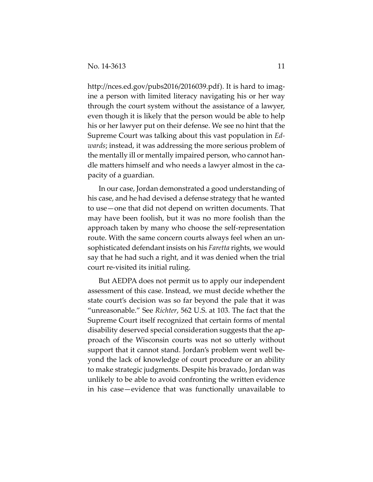http://nces.ed.gov/pubs2016/2016039.pdf). It is hard to imagine a person with limited literacy navigating his or her way through the court system without the assistance of a lawyer, even though it is likely that the person would be able to help his or her lawyer put on their defense. We see no hint that the Supreme Court was talking about this vast population in *Ed‐ wards*; instead, it was addressing the more serious problem of the mentally ill or mentally impaired person, who cannot han‐ dle matters himself and who needs a lawyer almost in the ca‐ pacity of a guardian.

In our case, Jordan demonstrated a good understanding of his case, and he had devised a defense strategy that he wanted to use—one that did not depend on written documents. That may have been foolish, but it was no more foolish than the approach taken by many who choose the self‐representation route. With the same concern courts always feel when an un‐ sophisticated defendant insists on his *Faretta* rights, we would say that he had such a right, and it was denied when the trial court re‐visited its initial ruling.

But AEDPA does not permit us to apply our independent assessment of this case. Instead, we must decide whether the state court's decision was so far beyond the pale that it was "unreasonable." See *Richter*, 562 U.S. at 103. The fact that the Supreme Court itself recognized that certain forms of mental disability deserved special consideration suggests that the ap‐ proach of the Wisconsin courts was not so utterly without support that it cannot stand. Jordan's problem went well be‐ yond the lack of knowledge of court procedure or an ability to make strategic judgments. Despite his bravado, Jordan was unlikely to be able to avoid confronting the written evidence in his case—evidence that was functionally unavailable to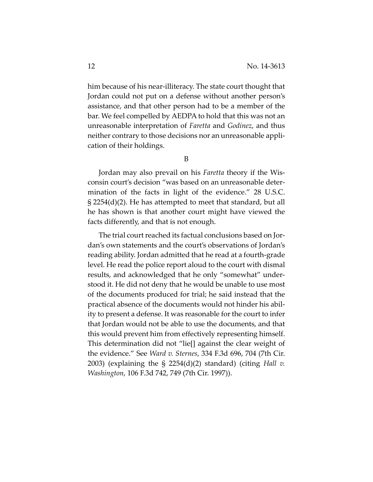him because of his near-illiteracy. The state court thought that Jordan could not put on a defense without another person's assistance, and that other person had to be a member of the bar. We feel compelled by AEDPA to hold that this was not an unreasonable interpretation of *Faretta* and *Godinez*, and thus neither contrary to those decisions nor an unreasonable appli‐ cation of their holdings.

B

Jordan may also prevail on his *Faretta* theory if the Wis‐ consin court's decision "was based on an unreasonable deter‐ mination of the facts in light of the evidence." 28 U.S.C. § 2254(d)(2). He has attempted to meet that standard, but all he has shown is that another court might have viewed the facts differently, and that is not enough.

The trial court reached its factual conclusions based on Jordan's own statements and the court's observations of Jordan's reading ability. Jordan admitted that he read at a fourth‐grade level. He read the police report aloud to the court with dismal results, and acknowledged that he only "somewhat" under‐ stood it. He did not deny that he would be unable to use most of the documents produced for trial; he said instead that the practical absence of the documents would not hinder his abil‐ ity to present a defense. It was reasonable for the court to infer that Jordan would not be able to use the documents, and that this would prevent him from effectively representing himself. This determination did not "lie[] against the clear weight of the evidence." See *Ward v. Sternes*, 334 F.3d 696, 704 (7th Cir. 2003) (explaining the § 2254(d)(2) standard) (citing *Hall v. Washington*, 106 F.3d 742, 749 (7th Cir. 1997)).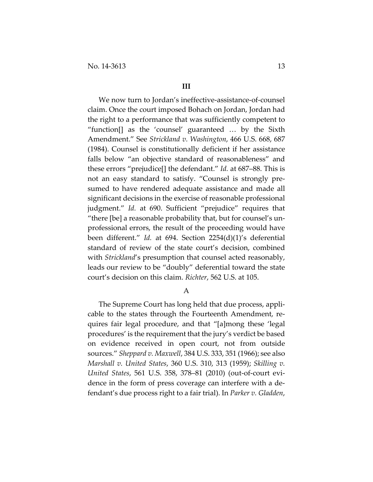#### **III**

We now turn to Jordan's ineffective‐assistance‐of‐counsel claim. Once the court imposed Bohach on Jordan, Jordan had the right to a performance that was sufficiently competent to "function[] as the 'counsel' guaranteed … by the Sixth Amendment." See *Strickland v. Washington*, 466 U.S. 668, 687 (1984). Counsel is constitutionally deficient if her assistance falls below "an objective standard of reasonableness" and these errors "prejudice[] the defendant." *Id.* at 687–88. This is not an easy standard to satisfy. "Counsel is strongly pre‐ sumed to have rendered adequate assistance and made all significant decisions in the exercise of reasonable professional judgment." *Id.* at 690. Sufficient "prejudice" requires that "there [be] a reasonable probability that, but for counsel's un‐ professional errors, the result of the proceeding would have been different." *Id.* at 694. Section 2254(d)(1)'s deferential standard of review of the state court's decision, combined with *Strickland*'s presumption that counsel acted reasonably, leads our review to be "doubly" deferential toward the state court's decision on this claim. *Richter*, 562 U.S. at 105.

A

The Supreme Court has long held that due process, appli‐ cable to the states through the Fourteenth Amendment, re‐ quires fair legal procedure, and that "[a]mong these 'legal procedures' is the requirement that the jury's verdict be based on evidence received in open court, not from outside sources." *Sheppard v. Maxwell*, 384 U.S. 333, 351 (1966); see also *Marshall v. United States*, 360 U.S. 310, 313 (1959); *Skilling v. United States*, 561 U.S. 358, 378–81 (2010) (out‐of‐court evi‐ dence in the form of press coverage can interfere with a de‐ fendant's due process right to a fair trial). In *Parker v. Gladden*,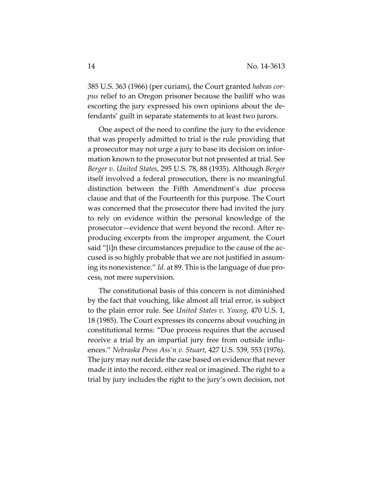385 U.S. 363 (1966) (per curiam), the Court granted *habeas cor‐ pus* relief to an Oregon prisoner because the bailiff who was escorting the jury expressed his own opinions about the de‐ fendants' guilt in separate statements to at least two jurors.

One aspect of the need to confine the jury to the evidence that was properly admitted to trial is the rule providing that a prosecutor may not urge a jury to base its decision on infor‐ mation known to the prosecutor but not presented at trial. See *Berger v. United States*, 295 U.S. 78, 88 (1935). Although *Berger* itself involved a federal prosecution, there is no meaningful distinction between the Fifth Amendment's due process clause and that of the Fourteenth for this purpose. The Court was concerned that the prosecutor there had invited the jury to rely on evidence within the personal knowledge of the prosecutor—evidence that went beyond the record. After re‐ producing excerpts from the improper argument, the Court said "[i]n these circumstances prejudice to the cause of the accused is so highly probable that we are not justified in assum‐ ing its nonexistence." *Id.* at 89. This is the language of due pro‐ cess, not mere supervision.

The constitutional basis of this concern is not diminished by the fact that vouching, like almost all trial error, is subject to the plain error rule. See *United States v. Young*, 470 U.S. 1, 18 (1985). The Court expresses its concerns about vouching in constitutional terms: "Due process requires that the accused receive a trial by an impartial jury free from outside influ‐ ences." *Nebraska Press Ass'n v. Stuart*, 427 U.S. 539, 553 (1976). The jury may not decide the case based on evidence that never made it into the record, either real or imagined. The right to a trial by jury includes the right to the jury's own decision, not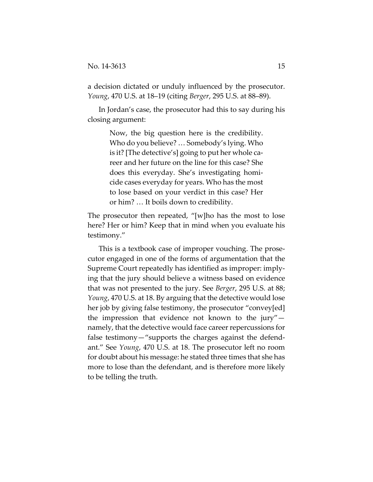a decision dictated or unduly influenced by the prosecutor. *Young*, 470 U.S. at 18–19 (citing *Berger*, 295 U.S. at 88–89).

In Jordan's case, the prosecutor had this to say during his closing argument:

> Now, the big question here is the credibility. Who do you believe? … Somebody's lying. Who is it? [The detective's] going to put her whole ca‐ reer and her future on the line for this case? She does this everyday. She's investigating homi‐ cide cases everyday for years. Who has the most to lose based on your verdict in this case? Her or him? … It boils down to credibility.

The prosecutor then repeated, "[w]ho has the most to lose here? Her or him? Keep that in mind when you evaluate his testimony."

This is a textbook case of improper vouching. The prose‐ cutor engaged in one of the forms of argumentation that the Supreme Court repeatedly has identified as improper: imply‐ ing that the jury should believe a witness based on evidence that was not presented to the jury. See *Berger*, 295 U.S. at 88; *Young*, 470 U.S. at 18. By arguing that the detective would lose her job by giving false testimony, the prosecutor "convey[ed] the impression that evidence not known to the jury" namely, that the detective would face career repercussions for false testimony—"supports the charges against the defend‐ ant." See *Young*, 470 U.S. at 18. The prosecutor left no room for doubt about his message: he stated three times that she has more to lose than the defendant, and is therefore more likely to be telling the truth.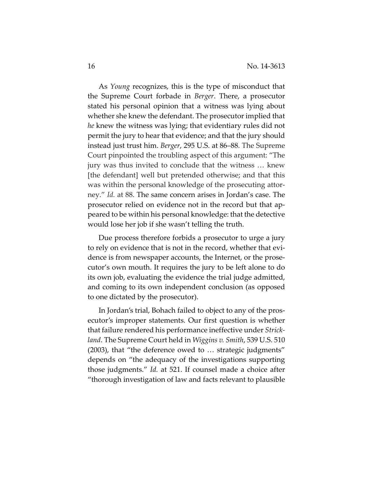As *Young* recognizes, this is the type of misconduct that the Supreme Court forbade in *Berger*. There, a prosecutor stated his personal opinion that a witness was lying about whether she knew the defendant. The prosecutor implied that *he* knew the witness was lying; that evidentiary rules did not permit the jury to hear that evidence; and that the jury should instead just trust him. *Berger*, 295 U.S. at 86–88. The Supreme Court pinpointed the troubling aspect of this argument: "The jury was thus invited to conclude that the witness … knew [the defendant] well but pretended otherwise; and that this was within the personal knowledge of the prosecuting attorney." *Id.* at 88. The same concern arises in Jordan's case. The prosecutor relied on evidence not in the record but that ap‐ peared to be within his personal knowledge: that the detective would lose her job if she wasn't telling the truth.

Due process therefore forbids a prosecutor to urge a jury to rely on evidence that is not in the record, whether that evi‐ dence is from newspaper accounts, the Internet, or the prose‐ cutor's own mouth. It requires the jury to be left alone to do its own job, evaluating the evidence the trial judge admitted, and coming to its own independent conclusion (as opposed to one dictated by the prosecutor).

In Jordan's trial, Bohach failed to object to any of the pros‐ ecutor's improper statements. Our first question is whether that failure rendered his performance ineffective under *Strick‐ land*. The Supreme Court held in *Wiggins v. Smith*, 539 U.S. 510 (2003), that "the deference owed to … strategic judgments" depends on "the adequacy of the investigations supporting those judgments." *Id.* at 521. If counsel made a choice after "thorough investigation of law and facts relevant to plausible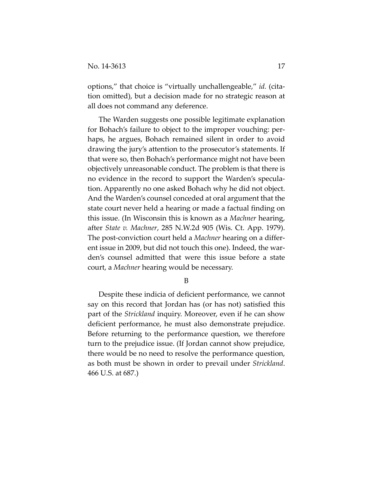options," that choice is "virtually unchallengeable," *id.* (cita‐ tion omitted), but a decision made for no strategic reason at all does not command any deference.

The Warden suggests one possible legitimate explanation for Bohach's failure to object to the improper vouching: per‐ haps, he argues, Bohach remained silent in order to avoid drawing the jury's attention to the prosecutor's statements. If that were so, then Bohach's performance might not have been objectively unreasonable conduct. The problem is that there is no evidence in the record to support the Warden's specula‐ tion. Apparently no one asked Bohach why he did not object. And the Warden's counsel conceded at oral argument that the state court never held a hearing or made a factual finding on this issue. (In Wisconsin this is known as a *Machner* hearing, after *State v. Machner*, 285 N.W.2d 905 (Wis. Ct. App. 1979). The post‐conviction court held a *Machner* hearing on a differ‐ ent issue in 2009, but did not touch this one). Indeed, the warden's counsel admitted that were this issue before a state court, a *Machner* hearing would be necessary.

B

Despite these indicia of deficient performance, we cannot say on this record that Jordan has (or has not) satisfied this part of the *Strickland* inquiry. Moreover, even if he can show deficient performance, he must also demonstrate prejudice. Before returning to the performance question, we therefore turn to the prejudice issue. (If Jordan cannot show prejudice, there would be no need to resolve the performance question, as both must be shown in order to prevail under *Strickland*. 466 U.S. at 687.)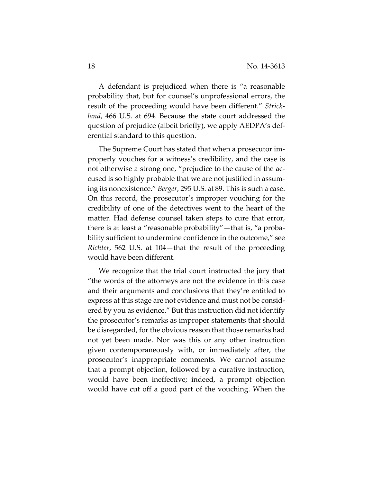A defendant is prejudiced when there is "a reasonable probability that, but for counsel's unprofessional errors, the result of the proceeding would have been different." *Strick‐ land*, 466 U.S. at 694. Because the state court addressed the question of prejudice (albeit briefly), we apply AEDPA's def‐ erential standard to this question.

The Supreme Court has stated that when a prosecutor im‐ properly vouches for a witness's credibility, and the case is not otherwise a strong one, "prejudice to the cause of the accused is so highly probable that we are not justified in assum‐ ing its nonexistence." *Berger*, 295 U.S. at 89. This is such a case. On this record, the prosecutor's improper vouching for the credibility of one of the detectives went to the heart of the matter. Had defense counsel taken steps to cure that error, there is at least a "reasonable probability"—that is, "a proba‐ bility sufficient to undermine confidence in the outcome," see *Richter*, 562 U.S. at 104—that the result of the proceeding would have been different.

We recognize that the trial court instructed the jury that "the words of the attorneys are not the evidence in this case and their arguments and conclusions that they're entitled to express at this stage are not evidence and must not be consid‐ ered by you as evidence." But this instruction did not identify the prosecutor's remarks as improper statements that should be disregarded, for the obvious reason that those remarks had not yet been made. Nor was this or any other instruction given contemporaneously with, or immediately after, the prosecutor's inappropriate comments. We cannot assume that a prompt objection, followed by a curative instruction, would have been ineffective; indeed, a prompt objection would have cut off a good part of the vouching. When the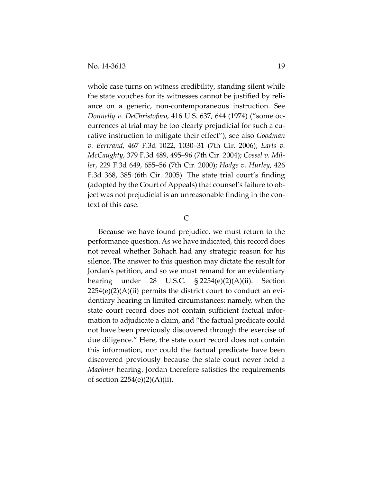whole case turns on witness credibility, standing silent while the state vouches for its witnesses cannot be justified by reli‐ ance on a generic, non‐contemporaneous instruction. See *Donnelly v. DeChristoforo*, 416 U.S. 637, 644 (1974) ("some oc‐ currences at trial may be too clearly prejudicial for such a cu‐ rative instruction to mitigate their effect"); see also *Goodman v. Bertrand*, 467 F.3d 1022, 1030–31 (7th Cir. 2006); *Earls v. McCaughty*, 379 F.3d 489, 495–96 (7th Cir. 2004); *Cossel v. Mil‐ ler*, 229 F.3d 649, 655–56 (7th Cir. 2000); *Hodge v. Hurley*, 426 F.3d 368, 385 (6th Cir. 2005). The state trial court's finding (adopted by the Court of Appeals) that counsel's failure to ob‐ ject was not prejudicial is an unreasonable finding in the con‐ text of this case.

#### C

Because we have found prejudice, we must return to the performance question. As we have indicated, this record does not reveal whether Bohach had any strategic reason for his silence. The answer to this question may dictate the result for Jordan's petition, and so we must remand for an evidentiary hearing under 28 U.S.C. § 2254(e)(2)(A)(ii). Section  $2254(e)(2)(A)(ii)$  permits the district court to conduct an evidentiary hearing in limited circumstances: namely, when the state court record does not contain sufficient factual infor‐ mation to adjudicate a claim, and "the factual predicate could not have been previously discovered through the exercise of due diligence." Here, the state court record does not contain this information, nor could the factual predicate have been discovered previously because the state court never held a *Machner* hearing. Jordan therefore satisfies the requirements of section  $2254(e)(2)(A)(ii)$ .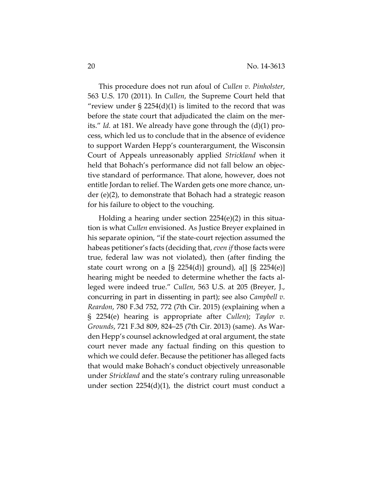This procedure does not run afoul of *Cullen v. Pinholster*, 563 U.S. 170 (2011). In *Cullen*, the Supreme Court held that "review under  $\S 2254(d)(1)$  is limited to the record that was before the state court that adjudicated the claim on the merits." *Id.* at 181. We already have gone through the (d)(1) pro‐ cess, which led us to conclude that in the absence of evidence to support Warden Hepp's counterargument, the Wisconsin Court of Appeals unreasonably applied *Strickland* when it held that Bohach's performance did not fall below an objective standard of performance. That alone, however, does not entitle Jordan to relief. The Warden gets one more chance, under (e)(2), to demonstrate that Bohach had a strategic reason for his failure to object to the vouching.

Holding a hearing under section 2254(e)(2) in this situa‐ tion is what *Cullen* envisioned. As Justice Breyer explained in his separate opinion, "if the state-court rejection assumed the habeas petitioner's facts (deciding that, *even if* those facts were true, federal law was not violated), then (after finding the state court wrong on a  $[S 2254(d)]$  ground), a[]  $[S 2254(e)]$ hearing might be needed to determine whether the facts alleged were indeed true." *Cullen*, 563 U.S. at 205 (Breyer, J., concurring in part in dissenting in part); see also *Campbell v. Reardon*, 780 F.3d 752, 772 (7th Cir. 2015) (explaining when a § 2254(e) hearing is appropriate after *Cullen*); *Taylor v. Grounds*, 721 F.3d 809, 824–25 (7th Cir. 2013) (same). As War‐ den Hepp's counsel acknowledged at oral argument, the state court never made any factual finding on this question to which we could defer. Because the petitioner has alleged facts that would make Bohach's conduct objectively unreasonable under *Strickland* and the state's contrary ruling unreasonable under section 2254(d)(1), the district court must conduct a